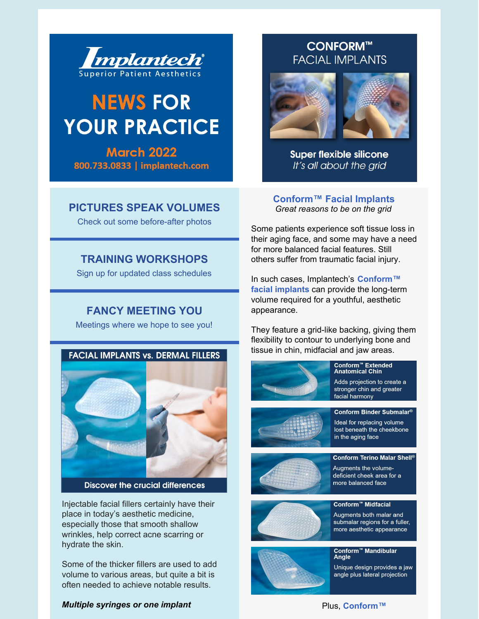

# **NEWS FOR YOUR PRACTICE**

**March 2022** 800.733.0833 | implantech.com

## **[PICTURES](http://www.implantech.com/before-after/) SPEAK VOLUMES**

Check out some before-after photos

## **TRAINING [WORKSHOPS](http://www.implantech.com/training/)**

Sign up for updated class schedules

## **FANCY [MEETING](https://www.implantech.com/events/) YOU**

Meetings where we hope to see you!



Injectable facial fillers certainly have their place in today's aesthetic medicine, especially those that smooth shallow wrinkles, help correct acne scarring or hydrate the skin.

Some of the thicker fillers are used to add volume to various areas, but quite a bit is often needed to achieve notable results.

#### *Multiple syringes or one implant*

## **CONFORM™ FACIAL IMPLANTS**



**Super flexible silicone** It's all about the grid

**[Conform™](https://www.implantech.com/product-category/products/facial-implants/silicone-facial-implants/) Facial Implants** *Great reasons to be on the grid*

Some patients experience soft tissue loss in their aging face, and some may have a need for more balanced facial features. Still others suffer from traumatic facial injury.

In such cases, [Implantech's](https://www.implantech.com/product-category/products/facial-implants/silicone-facial-implants/) **Conform™ facial implants** can provide the long-term volume required for a youthful, aesthetic appearance.

They feature a grid-like backing, giving them flexibility to contour to underlying bone and tissue in chin, midfacial and jaw areas.



#### Plus, **[Conform™](https://www.implantech.com/product-category/products/facial-implants/silicone-facial-implants/)**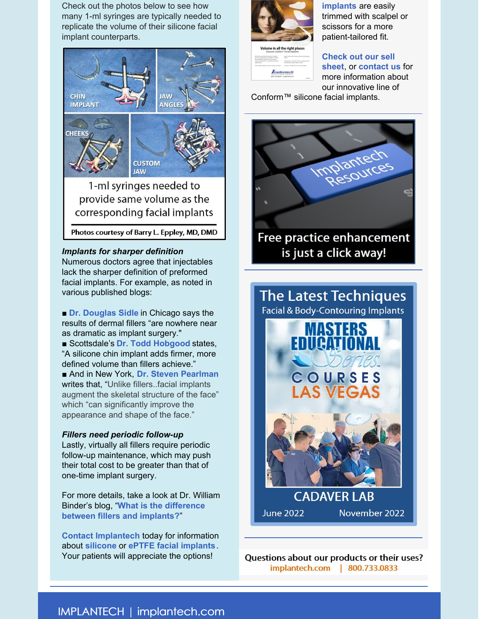Check out the photos below to see how many 1-ml syringes are typically needed to replicate the volume of their silicone facial implant counterparts.



Photos courtesy of Barry L. Eppley, MD, DMD

#### *Implants for sharper definition*

Numerous doctors agree that injectables lack the sharper definition of preformed facial implants. For example, as noted in various published blogs:

■ **Dr. [Douglas](https://drsidle.com/blog/enhance-your-facial-features-with-a-chin-implant/) Sidle** in Chicago says the results of dermal fillers "are nowhere near as dramatic as implant surgery."

■ Scottsdale's **Dr. Todd [Hobgood](https://www.toddhobgood.com/blog/chin-implant-augmentation-vs-fillers/)** states, "A silicone chin implant adds firmer, more defined volume than fillers achieve."

■ And in New York, **Dr. Steven [Pearlman](https://www.mdface.com/blog/advantages-facial-implants-fillers/)** writes that, "Unlike fillers..facial implants augment the skeletal structure of the face" which "can significantly improve the appearance and shape of the face."

#### *Fillers need periodic follow-up*

Lastly, virtually all fillers require periodic follow-up maintenance, which may push their total cost to be greater than that of one-time implant surgery.

For more details, take a look at Dr. William Binder's blog, "**What is the [difference](https://doctorbinder.com/fillers-implants/) between fillers and implants?**"

**Contact [Implantech](https://www.implantech.com/contact/)** today for information about **[silicone](https://www.implantech.com/product-category/products/facial-implants/silicone-facial-implants/)** or **ePTFE facial [implants](https://www.implantech.com/product-category/products/facial-implants/eptfe-implants-and-sheeting/)**. Your patients will appreciate the options!



**implants** are easily trimmed with scalpel or scissors for a more patient-tailored fit.



**Check out our sell sheet**, or **[contact](https://files.constantcontact.com/c3ccc74b001/be70de3a-5ff6-49c3-af99-abbf23d679f5.pdf) us** for more information about our innovative line of

Conform™ silicone facial implants.



is just a click away!



Questions about our products or their uses? implantech.com | 800.733.0833